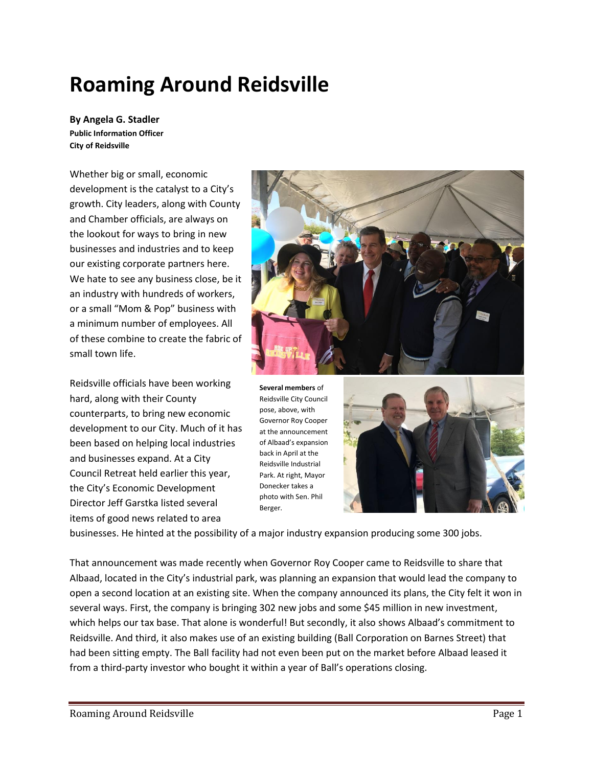# **Roaming Around Reidsville**

**By Angela G. Stadler Public Information Officer City of Reidsville**

Whether big or small, economic development is the catalyst to a City's growth. City leaders, along with County and Chamber officials, are always on the lookout for ways to bring in new businesses and industries and to keep our existing corporate partners here. We hate to see any business close, be it an industry with hundreds of workers, or a small "Mom & Pop" business with a minimum number of employees. All of these combine to create the fabric of small town life.

Reidsville officials have been working hard, along with their County counterparts, to bring new economic development to our City. Much of it has been based on helping local industries and businesses expand. At a City Council Retreat held earlier this year, the City's Economic Development Director Jeff Garstka listed several items of good news related to area



**Several members** of Reidsville City Council pose, above, with Governor Roy Cooper at the announcement of Albaad's expansion back in April at the Reidsville Industrial Park. At right, Mayor Donecker takes a photo with Sen. Phil Berger.



businesses. He hinted at the possibility of a major industry expansion producing some 300 jobs.

That announcement was made recently when Governor Roy Cooper came to Reidsville to share that Albaad, located in the City's industrial park, was planning an expansion that would lead the company to open a second location at an existing site. When the company announced its plans, the City felt it won in several ways. First, the company is bringing 302 new jobs and some \$45 million in new investment, which helps our tax base. That alone is wonderful! But secondly, it also shows Albaad's commitment to Reidsville. And third, it also makes use of an existing building (Ball Corporation on Barnes Street) that had been sitting empty. The Ball facility had not even been put on the market before Albaad leased it from a third-party investor who bought it within a year of Ball's operations closing.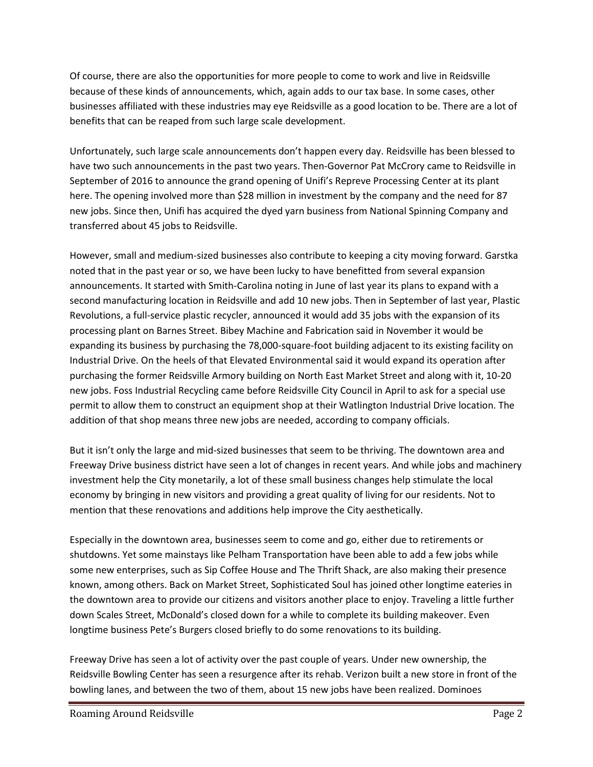Of course, there are also the opportunities for more people to come to work and live in Reidsville because of these kinds of announcements, which, again adds to our tax base. In some cases, other businesses affiliated with these industries may eye Reidsville as a good location to be. There are a lot of benefits that can be reaped from such large scale development.

Unfortunately, such large scale announcements don't happen every day. Reidsville has been blessed to have two such announcements in the past two years. Then-Governor Pat McCrory came to Reidsville in September of 2016 to announce the grand opening of Unifi's Repreve Processing Center at its plant here. The opening involved more than \$28 million in investment by the company and the need for 87 new jobs. Since then, Unifi has acquired the dyed yarn business from National Spinning Company and transferred about 45 jobs to Reidsville.

However, small and medium-sized businesses also contribute to keeping a city moving forward. Garstka noted that in the past year or so, we have been lucky to have benefitted from several expansion announcements. It started with Smith-Carolina noting in June of last year its plans to expand with a second manufacturing location in Reidsville and add 10 new jobs. Then in September of last year, Plastic Revolutions, a full-service plastic recycler, announced it would add 35 jobs with the expansion of its processing plant on Barnes Street. Bibey Machine and Fabrication said in November it would be expanding its business by purchasing the 78,000-square-foot building adjacent to its existing facility on Industrial Drive. On the heels of that Elevated Environmental said it would expand its operation after purchasing the former Reidsville Armory building on North East Market Street and along with it, 10-20 new jobs. Foss Industrial Recycling came before Reidsville City Council in April to ask for a special use permit to allow them to construct an equipment shop at their Watlington Industrial Drive location. The addition of that shop means three new jobs are needed, according to company officials.

But it isn't only the large and mid-sized businesses that seem to be thriving. The downtown area and Freeway Drive business district have seen a lot of changes in recent years. And while jobs and machinery investment help the City monetarily, a lot of these small business changes help stimulate the local economy by bringing in new visitors and providing a great quality of living for our residents. Not to mention that these renovations and additions help improve the City aesthetically.

Especially in the downtown area, businesses seem to come and go, either due to retirements or shutdowns. Yet some mainstays like Pelham Transportation have been able to add a few jobs while some new enterprises, such as Sip Coffee House and The Thrift Shack, are also making their presence known, among others. Back on Market Street, Sophisticated Soul has joined other longtime eateries in the downtown area to provide our citizens and visitors another place to enjoy. Traveling a little further down Scales Street, McDonald's closed down for a while to complete its building makeover. Even longtime business Pete's Burgers closed briefly to do some renovations to its building.

Freeway Drive has seen a lot of activity over the past couple of years. Under new ownership, the Reidsville Bowling Center has seen a resurgence after its rehab. Verizon built a new store in front of the bowling lanes, and between the two of them, about 15 new jobs have been realized. Dominoes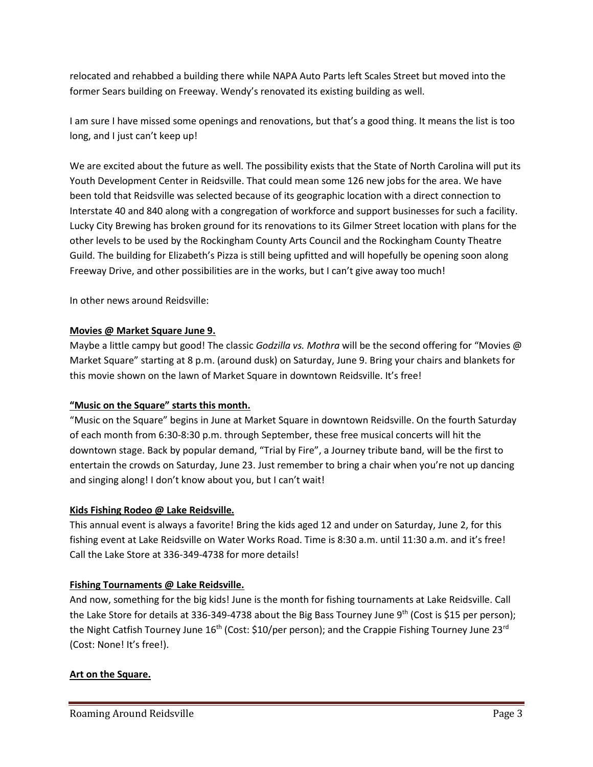relocated and rehabbed a building there while NAPA Auto Parts left Scales Street but moved into the former Sears building on Freeway. Wendy's renovated its existing building as well.

I am sure I have missed some openings and renovations, but that's a good thing. It means the list is too long, and I just can't keep up!

We are excited about the future as well. The possibility exists that the State of North Carolina will put its Youth Development Center in Reidsville. That could mean some 126 new jobs for the area. We have been told that Reidsville was selected because of its geographic location with a direct connection to Interstate 40 and 840 along with a congregation of workforce and support businesses for such a facility. Lucky City Brewing has broken ground for its renovations to its Gilmer Street location with plans for the other levels to be used by the Rockingham County Arts Council and the Rockingham County Theatre Guild. The building for Elizabeth's Pizza is still being upfitted and will hopefully be opening soon along Freeway Drive, and other possibilities are in the works, but I can't give away too much!

In other news around Reidsville:

## **Movies @ Market Square June 9.**

Maybe a little campy but good! The classic *Godzilla vs. Mothra* will be the second offering for "Movies @ Market Square" starting at 8 p.m. (around dusk) on Saturday, June 9. Bring your chairs and blankets for this movie shown on the lawn of Market Square in downtown Reidsville. It's free!

## **"Music on the Square" starts this month.**

"Music on the Square" begins in June at Market Square in downtown Reidsville. On the fourth Saturday of each month from 6:30-8:30 p.m. through September, these free musical concerts will hit the downtown stage. Back by popular demand, "Trial by Fire", a Journey tribute band, will be the first to entertain the crowds on Saturday, June 23. Just remember to bring a chair when you're not up dancing and singing along! I don't know about you, but I can't wait!

## **Kids Fishing Rodeo @ Lake Reidsville.**

This annual event is always a favorite! Bring the kids aged 12 and under on Saturday, June 2, for this fishing event at Lake Reidsville on Water Works Road. Time is 8:30 a.m. until 11:30 a.m. and it's free! Call the Lake Store at 336-349-4738 for more details!

## **Fishing Tournaments @ Lake Reidsville.**

And now, something for the big kids! June is the month for fishing tournaments at Lake Reidsville. Call the Lake Store for details at 336-349-4738 about the Big Bass Tourney June  $9<sup>th</sup>$  (Cost is \$15 per person); the Night Catfish Tourney June 16<sup>th</sup> (Cost: \$10/per person); and the Crappie Fishing Tourney June 23<sup>rd</sup> (Cost: None! It's free!).

## **Art on the Square.**